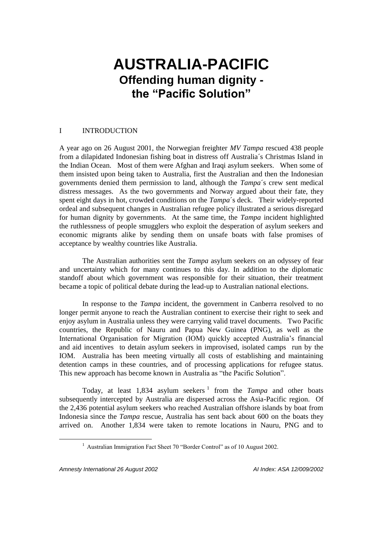# **AUSTRALIA-PACIFIC Offending human dignity the "Pacific Solution"**

## I INTRODUCTION

A year ago on 26 August 2001, the Norwegian freighter *MV Tampa* rescued 438 people from a dilapidated Indonesian fishing boat in distress off Australia´s Christmas Island in the Indian Ocean. Most of them were Afghan and Iraqi asylum seekers. When some of them insisted upon being taken to Australia, first the Australian and then the Indonesian governments denied them permission to land, although the *Tampa*´s crew sent medical distress messages. As the two governments and Norway argued about their fate, they spent eight days in hot, crowded conditions on the *Tampa*´s deck. Their widely-reported ordeal and subsequent changes in Australian refugee policy illustrated a serious disregard for human dignity by governments. At the same time, the *Tampa* incident highlighted the ruthlessness of people smugglers who exploit the desperation of asylum seekers and economic migrants alike by sending them on unsafe boats with false promises of acceptance by wealthy countries like Australia.

The Australian authorities sent the *Tampa* asylum seekers on an odyssey of fear and uncertainty which for many continues to this day. In addition to the diplomatic standoff about which government was responsible for their situation, their treatment became a topic of political debate during the lead-up to Australian national elections.

In response to the *Tampa* incident, the government in Canberra resolved to no longer permit anyone to reach the Australian continent to exercise their right to seek and enjoy asylum in Australia unless they were carrying valid travel documents. Two Pacific countries, the Republic of Nauru and Papua New Guinea (PNG), as well as the International Organisation for Migration (IOM) quickly accepted Australia's financial and aid incentives to detain asylum seekers in improvised, isolated camps run by the IOM. Australia has been meeting virtually all costs of establishing and maintaining detention camps in these countries, and of processing applications for refugee status. This new approach has become known in Australia as "the Pacific Solution".

Today, at least 1,834 asylum seekers<sup>1</sup> from the *Tampa* and other boats subsequently intercepted by Australia are dispersed across the Asia-Pacific region. Of the 2,436 potential asylum seekers who reached Australian offshore islands by boat from Indonesia since the *Tampa* rescue, Australia has sent back about 600 on the boats they arrived on. Another 1,834 were taken to remote locations in Nauru, PNG and to

*Amnesty International 26 August 2002 AI Index: ASA 12/009/2002*

 $\overline{a}$ 

<sup>&</sup>lt;sup>1</sup> Australian Immigration Fact Sheet 70 "Border Control" as of 10 August 2002.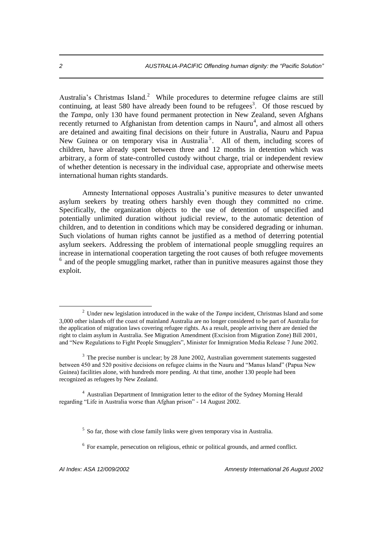Australia's Christmas Island.<sup>2</sup> While procedures to determine refugee claims are still continuing, at least 580 have already been found to be refugees<sup>3</sup>. Of those rescued by the *Tampa,* only 130 have found permanent protection in New Zealand, seven Afghans recently returned to Afghanistan from detention camps in Nauru<sup>4</sup>, and almost all others are detained and awaiting final decisions on their future in Australia, Nauru and Papua New Guinea or on temporary visa in Australia<sup>5</sup>. All of them, including scores of children, have already spent between three and 12 months in detention which was arbitrary, a form of state-controlled custody without charge, trial or independent review of whether detention is necessary in the individual case, appropriate and otherwise meets international human rights standards.

Amnesty International opposes Australia's punitive measures to deter unwanted asylum seekers by treating others harshly even though they committed no crime. Specifically, the organization objects to the use of detention of unspecified and potentially unlimited duration without judicial review, to the automatic detention of children, and to detention in conditions which may be considered degrading or inhuman. Such violations of human rights cannot be justified as a method of deterring potential asylum seekers. Addressing the problem of international people smuggling requires an increase in international cooperation targeting the root causes of both refugee movements <sup>6</sup> and of the people smuggling market, rather than in punitive measures against those they exploit.

 $\overline{a}$ 

<sup>2</sup> Under new legislation introduced in the wake of the *Tampa* incident, Christmas Island and some 3,000 other islands off the coast of mainland Australia are no longer considered to be part of Australia for the application of migration laws covering refugee rights. As a result, people arriving there are denied the right to claim asylum in Australia. See Migration Amendment (Excision from Migration Zone) Bill 2001, and "New Regulations to Fight People Smugglers", Minister for Immigration Media Release 7 June 2002.

 $3$  The precise number is unclear; by 28 June 2002, Australian government statements suggested between 450 and 520 positive decisions on refugee claims in the Nauru and "Manus Island" (Papua New Guinea) facilities alone, with hundreds more pending. At that time, another 130 people had been recognized as refugees by New Zealand.

<sup>4</sup> Australian Department of Immigration letter to the editor of the Sydney Morning Herald regarding "Life in Australia worse than Afghan prison" - 14 August 2002.

<sup>&</sup>lt;sup>5</sup> So far, those with close family links were given temporary visa in Australia.

<sup>&</sup>lt;sup>6</sup> For example, persecution on religious, ethnic or political grounds, and armed conflict.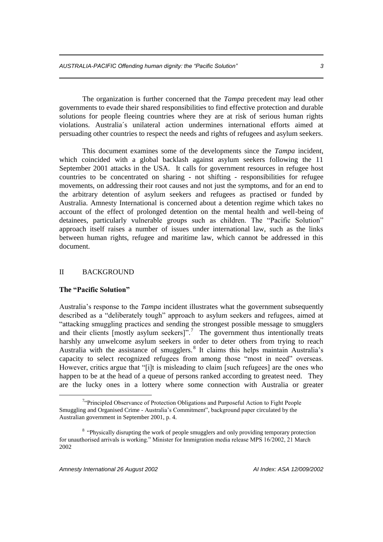The organization is further concerned that the *Tampa* precedent may lead other governments to evade their shared responsibilities to find effective protection and durable solutions for people fleeing countries where they are at risk of serious human rights violations. Australia´s unilateral action undermines international efforts aimed at persuading other countries to respect the needs and rights of refugees and asylum seekers.

This document examines some of the developments since the *Tampa* incident, which coincided with a global backlash against asylum seekers following the 11 September 2001 attacks in the USA. It calls for government resources in refugee host countries to be concentrated on sharing - not shifting - responsibilities for refugee movements, on addressing their root causes and not just the symptoms, and for an end to the arbitrary detention of asylum seekers and refugees as practised or funded by Australia. Amnesty International is concerned about a detention regime which takes no account of the effect of prolonged detention on the mental health and well-being of detainees, particularly vulnerable groups such as children. The "Pacific Solution" approach itself raises a number of issues under international law, such as the links between human rights, refugee and maritime law, which cannot be addressed in this document.

#### II BACKGROUND

#### **The "Pacific Solution"**

 $\overline{a}$ 

Australia's response to the *Tampa* incident illustrates what the government subsequently described as a "deliberately tough" approach to asylum seekers and refugees, aimed at "attacking smuggling practices and sending the strongest possible message to smugglers and their clients [mostly asylum seekers]".<sup>7</sup> The government thus intentionally treats harshly any unwelcome asylum seekers in order to deter others from trying to reach Australia with the assistance of smugglers.<sup>8</sup> It claims this helps maintain Australia's capacity to select recognized refugees from among those "most in need" overseas. However, critics argue that "[i]t is misleading to claim [such refugees] are the ones who happen to be at the head of a queue of persons ranked according to greatest need. They are the lucky ones in a lottery where some connection with Australia or greater

<sup>&</sup>lt;sup>7</sup>"Principled Observance of Protection Obligations and Purposeful Action to Fight People Smuggling and Organised Crime - Australia's Commitment", background paper circulated by the Australian government in September 2001, p. 4.

<sup>&</sup>lt;sup>8</sup> "Physically disrupting the work of people smugglers and only providing temporary protection for unauthorised arrivals is working." Minister for Immigration media release MPS 16/2002, 21 March 2002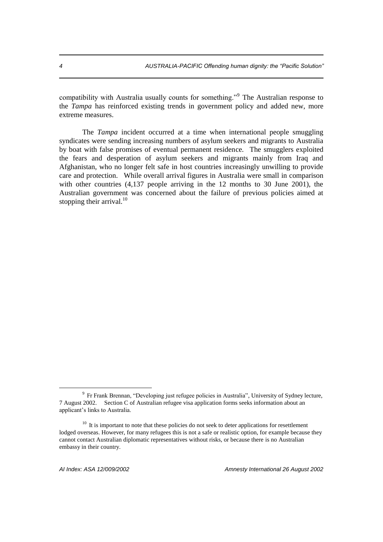compatibility with Australia usually counts for something."<sup>9</sup> The Australian response to the *Tampa* has reinforced existing trends in government policy and added new, more extreme measures.

The *Tampa* incident occurred at a time when international people smuggling syndicates were sending increasing numbers of asylum seekers and migrants to Australia by boat with false promises of eventual permanent residence. The smugglers exploited the fears and desperation of asylum seekers and migrants mainly from Iraq and Afghanistan, who no longer felt safe in host countries increasingly unwilling to provide care and protection. While overall arrival figures in Australia were small in comparison with other countries (4,137 people arriving in the 12 months to 30 June 2001), the Australian government was concerned about the failure of previous policies aimed at stopping their arrival. $10$ 

 $\overline{a}$ 

*AI Index: ASA 12/009/2002 Amnesty International 26 August 2002*

<sup>&</sup>lt;sup>9</sup> Fr Frank Brennan, "Developing just refugee policies in Australia", University of Sydney lecture, 7 August 2002. Section C of Australian refugee visa application forms seeks information about an applicant's links to Australia.

 $10$  It is important to note that these policies do not seek to deter applications for resettlement lodged overseas. However, for many refugees this is not a safe or realistic option, for example because they cannot contact Australian diplomatic representatives without risks, or because there is no Australian embassy in their country.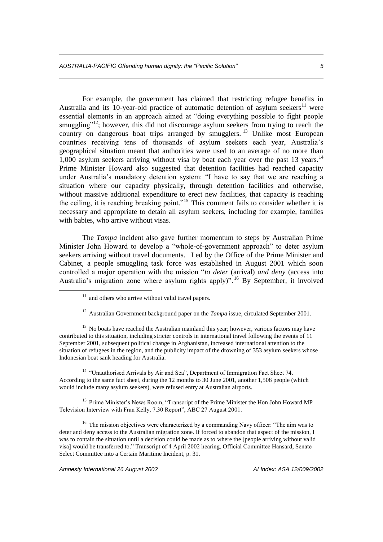*AUSTRALIA-PACIFIC Offending human dignity: the "Pacific Solution" 5*

For example, the government has claimed that restricting refugee benefits in Australia and its 10-year-old practice of automatic detention of asylum seekers<sup>11</sup> were essential elements in an approach aimed at "doing everything possible to fight people smuggling"<sup>12</sup>; however, this did not discourage asylum seekers from trying to reach the country on dangerous boat trips arranged by smugglers.<sup>13</sup> Unlike most European countries receiving tens of thousands of asylum seekers each year, Australia's geographical situation meant that authorities were used to an average of no more than 1,000 asylum seekers arriving without visa by boat each year over the past 13 years.<sup>14</sup> Prime Minister Howard also suggested that detention facilities had reached capacity under Australia's mandatory detention system: "I have to say that we are reaching a situation where our capacity physically, through detention facilities and otherwise, without massive additional expenditure to erect new facilities, that capacity is reaching the ceiling, it is reaching breaking point."<sup>15</sup> This comment fails to consider whether it is necessary and appropriate to detain all asylum seekers, including for example, families with babies, who arrive without visas.

The *Tampa* incident also gave further momentum to steps by Australian Prime Minister John Howard to develop a "whole-of-government approach" to deter asylum seekers arriving without travel documents. Led by the Office of the Prime Minister and Cabinet, a people smuggling task force was established in August 2001 which soon controlled a major operation with the mission "*to deter* (arrival) *and deny* (access into Australia's migration zone where asylum rights apply)". <sup>16</sup> By September, it involved

<sup>12</sup> Australian Government background paper on the *Tampa* issue, circulated September 2001.

 $13$  No boats have reached the Australian mainland this year; however, various factors may have contributed to this situation, including stricter controls in international travel following the events of 11 September 2001, subsequent political change in Afghanistan, increased international attention to the situation of refugees in the region, and the publicity impact of the drowning of 353 asylum seekers whose Indonesian boat sank heading for Australia.

<sup>14</sup> "Unauthorised Arrivals by Air and Sea", Department of Immigration Fact Sheet 74. According to the same fact sheet, during the 12 months to 30 June 2001, another 1,508 people (which would include many asylum seekers), were refused entry at Australian airports.

<sup>15</sup> Prime Minister's News Room, "Transcript of the Prime Minister the Hon John Howard MP Television Interview with Fran Kelly, 7.30 Report", ABC 27 August 2001.

<sup>16</sup> The mission objectives were characterized by a commanding Navy officer: "The aim was to deter and deny access to the Australian migration zone. If forced to abandon that aspect of the mission, I was to contain the situation until a decision could be made as to where the [people arriving without valid visa] would be transferred to." Transcript of 4 April 2002 hearing, Official Committee Hansard, Senate Select Committee into a Certain Maritime Incident, p. 31.

*Amnesty International 26 August 2002 AI Index: ASA 12/009/2002*

 $\overline{a}$ 

 $11$  and others who arrive without valid travel papers.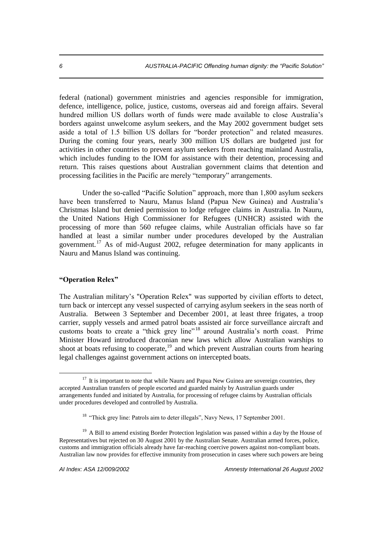federal (national) government ministries and agencies responsible for immigration, defence, intelligence, police, justice, customs, overseas aid and foreign affairs. Several hundred million US dollars worth of funds were made available to close Australia's borders against unwelcome asylum seekers, and the May 2002 government budget sets aside a total of 1.5 billion US dollars for "border protection" and related measures. During the coming four years, nearly 300 million US dollars are budgeted just for activities in other countries to prevent asylum seekers from reaching mainland Australia, which includes funding to the IOM for assistance with their detention, processing and return. This raises questions about Australian government claims that detention and processing facilities in the Pacific are merely "temporary" arrangements.

Under the so-called "Pacific Solution" approach, more than 1,800 asylum seekers have been transferred to Nauru, Manus Island (Papua New Guinea) and Australia's Christmas Island but denied permission to lodge refugee claims in Australia. In Nauru, the United Nations High Commissioner for Refugees (UNHCR) assisted with the processing of more than 560 refugee claims, while Australian officials have so far handled at least a similar number under procedures developed by the Australian government.<sup>17</sup> As of mid-August 2002, refugee determination for many applicants in Nauru and Manus Island was continuing.

# **"Operation Relex"**

 $\overline{a}$ 

The Australian military's "Operation Relex" was supported by civilian efforts to detect, turn back or intercept any vessel suspected of carrying asylum seekers in the seas north of Australia. Between 3 September and December 2001, at least three frigates, a troop carrier, supply vessels and armed patrol boats assisted air force surveillance aircraft and customs boats to create a "thick grey line"<sup>18</sup> around Australia's north coast. Prime Minister Howard introduced draconian new laws which allow Australian warships to shoot at boats refusing to cooperate, $19$  and which prevent Australian courts from hearing legal challenges against government actions on intercepted boats.

 $17$  It is important to note that while Nauru and Papua New Guinea are sovereign countries, they accepted Australian transfers of people escorted and guarded mainly by Australian guards under arrangements funded and initiated by Australia, for processing of refugee claims by Australian officials under procedures developed and controlled by Australia.

<sup>&</sup>lt;sup>18</sup> "Thick grey line: Patrols aim to deter illegals", Navy News, 17 September 2001.

 $19$  A Bill to amend existing Border Protection legislation was passed within a day by the House of Representatives but rejected on 30 August 2001 by the Australian Senate. Australian armed forces, police, customs and immigration officials already have far-reaching coercive powers against non-compliant boats. Australian law now provides for effective immunity from prosecution in cases where such powers are being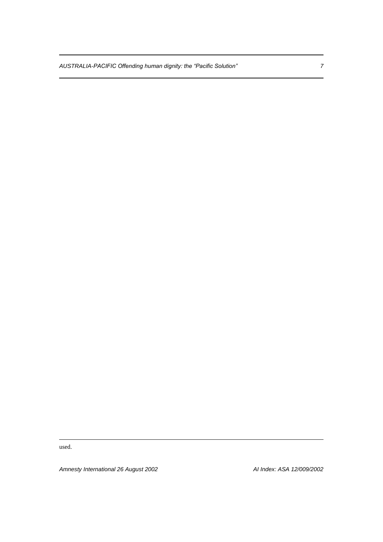*AUSTRALIA-PACIFIC Offending human dignity: the "Pacific Solution" 7*

used.

1

*Amnesty International 26 August 2002 AI Index: ASA 12/009/2002*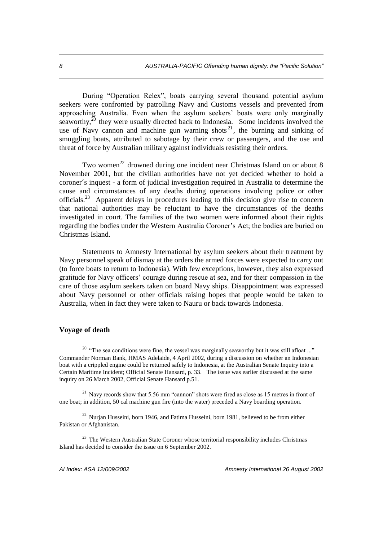During "Operation Relex", boats carrying several thousand potential asylum seekers were confronted by patrolling Navy and Customs vessels and prevented from approaching Australia. Even when the asylum seekers' boats were only marginally seaworthy, $^{20}$  they were usually directed back to Indonesia. Some incidents involved the use of Navy cannon and machine gun warning shots<sup>21</sup>, the burning and sinking of smuggling boats, attributed to sabotage by their crew or passengers, and the use and threat of force by Australian military against individuals resisting their orders.

Two women<sup>22</sup> drowned during one incident near Christmas Island on or about 8 November 2001, but the civilian authorities have not yet decided whether to hold a coroner´s inquest - a form of judicial investigation required in Australia to determine the cause and circumstances of any deaths during operations involving police or other officials.<sup>23</sup> Apparent delays in procedures leading to this decision give rise to concern that national authorities may be reluctant to have the circumstances of the deaths investigated in court. The families of the two women were informed about their rights regarding the bodies under the Western Australia Coroner's Act; the bodies are buried on Christmas Island.

Statements to Amnesty International by asylum seekers about their treatment by Navy personnel speak of dismay at the orders the armed forces were expected to carry out (to force boats to return to Indonesia). With few exceptions, however, they also expressed gratitude for Navy officers' courage during rescue at sea, and for their compassion in the care of those asylum seekers taken on board Navy ships. Disappointment was expressed about Navy personnel or other officials raising hopes that people would be taken to Australia, when in fact they were taken to Nauru or back towards Indonesia.

## **Voyage of death**

 $\overline{a}$ 

<sup>22</sup> Nurjan Husseini, born 1946, and Fatima Husseini, born 1981, believed to be from either Pakistan or Afghanistan.

 $23$  The Western Australian State Coroner whose territorial responsibility includes Christmas Island has decided to consider the issue on 6 September 2002.

 $20$  "The sea conditions were fine, the vessel was marginally seaworthy but it was still afloat ..." Commander Norman Bank, HMAS Adelaide, 4 April 2002, during a discussion on whether an Indonesian boat with a crippled engine could be returned safely to Indonesia, at the Australian Senate Inquiry into a Certain Maritime Incident; Official Senate Hansard, p. 33. The issue was earlier discussed at the same inquiry on 26 March 2002, Official Senate Hansard p.51.

<sup>&</sup>lt;sup>21</sup> Navy records show that 5.56 mm "cannon" shots were fired as close as 15 metres in front of one boat; in addition, 50 cal machine gun fire (into the water) preceded a Navy boarding operation.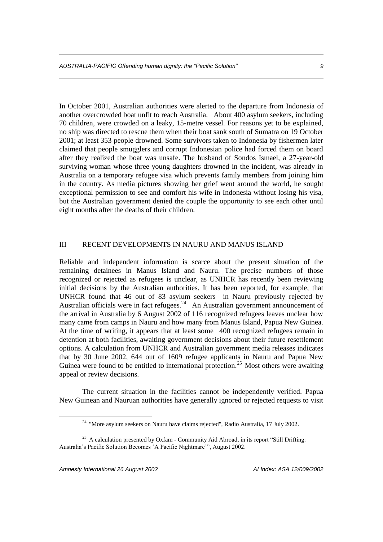In October 2001, Australian authorities were alerted to the departure from Indonesia of another overcrowded boat unfit to reach Australia. About 400 asylum seekers, including 70 children, were crowded on a leaky, 15-metre vessel. For reasons yet to be explained, no ship was directed to rescue them when their boat sank south of Sumatra on 19 October 2001; at least 353 people drowned. Some survivors taken to Indonesia by fishermen later claimed that people smugglers and corrupt Indonesian police had forced them on board after they realized the boat was unsafe. The husband of Sondos Ismael, a 27-year-old surviving woman whose three young daughters drowned in the incident, was already in Australia on a temporary refugee visa which prevents family members from joining him in the country. As media pictures showing her grief went around the world, he sought exceptional permission to see and comfort his wife in Indonesia without losing his visa, but the Australian government denied the couple the opportunity to see each other until eight months after the deaths of their children.

### III RECENT DEVELOPMENTS IN NAURU AND MANUS ISLAND

Reliable and independent information is scarce about the present situation of the remaining detainees in Manus Island and Nauru. The precise numbers of those recognized or rejected as refugees is unclear, as UNHCR has recently been reviewing initial decisions by the Australian authorities. It has been reported, for example, that UNHCR found that 46 out of 83 asylum seekers in Nauru previously rejected by Australian officials were in fact refugees.<sup>24</sup> An Australian government announcement of the arrival in Australia by 6 August 2002 of 116 recognized refugees leaves unclear how many came from camps in Nauru and how many from Manus Island, Papua New Guinea. At the time of writing, it appears that at least some 400 recognized refugees remain in detention at both facilities, awaiting government decisions about their future resettlement options. A calculation from UNHCR and Australian government media releases indicates that by 30 June 2002, 644 out of 1609 refugee applicants in Nauru and Papua New Guinea were found to be entitled to international protection.<sup>25</sup> Most others were awaiting appeal or review decisions.

The current situation in the facilities cannot be independently verified. Papua New Guinean and Nauruan authorities have generally ignored or rejected requests to visit

 $\overline{a}$ 

<sup>&</sup>lt;sup>24</sup> "More asylum seekers on Nauru have claims rejected", Radio Australia, 17 July 2002.

 $25$  A calculation presented by Oxfam - Community Aid Abroad, in its report "Still Drifting: Australia's Pacific Solution Becomes 'A Pacific Nightmare'", August 2002.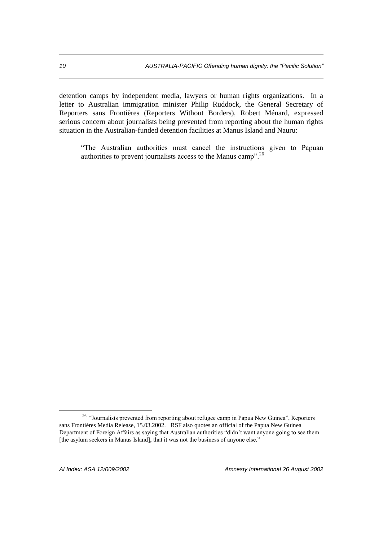detention camps by independent media, lawyers or human rights organizations. In a letter to Australian immigration minister Philip Ruddock, the General Secretary of Reporters sans Frontières (Reporters Without Borders), Robert Ménard, expressed serious concern about journalists being prevented from reporting about the human rights situation in the Australian-funded detention facilities at Manus Island and Nauru:

"The Australian authorities must cancel the instructions given to Papuan authorities to prevent journalists access to the Manus camp". $26$ 

 $\overline{a}$ 

*AI Index: ASA 12/009/2002 Amnesty International 26 August 2002*

<sup>&</sup>lt;sup>26</sup> "Journalists prevented from reporting about refugee camp in Papua New Guinea", Reporters sans Frontières Media Release, 15.03.2002. RSF also quotes an official of the Papua New Guinea Department of Foreign Affairs as saying that Australian authorities "didn't want anyone going to see them [the asylum seekers in Manus Island], that it was not the business of anyone else."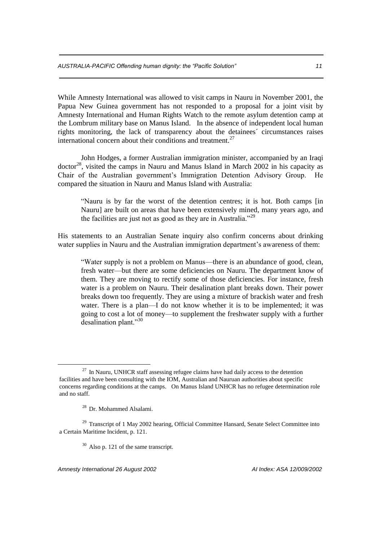While Amnesty International was allowed to visit camps in Nauru in November 2001, the Papua New Guinea government has not responded to a proposal for a joint visit by Amnesty International and Human Rights Watch to the remote asylum detention camp at the Lombrum military base on Manus Island. In the absence of independent local human rights monitoring, the lack of transparency about the detainees´ circumstances raises international concern about their conditions and treatment. $27$ 

John Hodges, a former Australian immigration minister, accompanied by an Iraqi doctor<sup>28</sup>, visited the camps in Nauru and Manus Island in March 2002 in his capacity as Chair of the Australian government's Immigration Detention Advisory Group. He compared the situation in Nauru and Manus Island with Australia:

"Nauru is by far the worst of the detention centres; it is hot. Both camps [in Nauru] are built on areas that have been extensively mined, many years ago, and the facilities are just not as good as they are in Australia."<sup>29</sup>

His statements to an Australian Senate inquiry also confirm concerns about drinking water supplies in Nauru and the Australian immigration department's awareness of them:

"Water supply is not a problem on Manus—there is an abundance of good, clean, fresh water—but there are some deficiencies on Nauru. The department know of them. They are moving to rectify some of those deficiencies. For instance, fresh water is a problem on Nauru. Their desalination plant breaks down. Their power breaks down too frequently. They are using a mixture of brackish water and fresh water. There is a plan—I do not know whether it is to be implemented; it was going to cost a lot of money—to supplement the freshwater supply with a further desalination plant."<sup>30</sup>

1

 $30$  Also p. 121 of the same transcript.

*Amnesty International 26 August 2002 AI Index: ASA 12/009/2002*

 $^{27}$  In Nauru, UNHCR staff assessing refugee claims have had daily access to the detention facilities and have been consulting with the IOM, Australian and Nauruan authorities about specific concerns regarding conditions at the camps. On Manus Island UNHCR has no refugee determination role and no staff.

<sup>28</sup> Dr. Mohammed Alsalami.

 $29$  Transcript of 1 May 2002 hearing, Official Committee Hansard, Senate Select Committee into a Certain Maritime Incident, p. 121.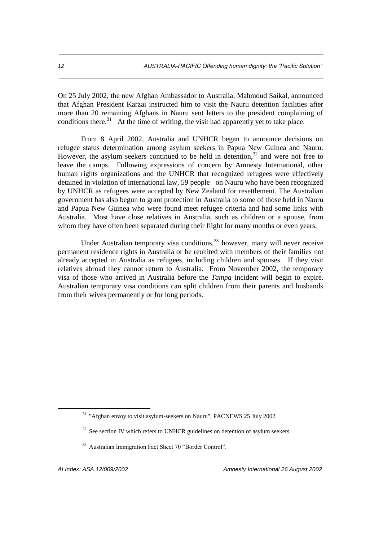On 25 July 2002, the new Afghan Ambassador to Australia, Mahmoud Saikal, announced that Afghan President Karzai instructed him to visit the Nauru detention facilities after more than 20 remaining Afghans in Nauru sent letters to the president complaining of conditions there.<sup>31</sup> At the time of writing, the visit had apparently yet to take place.

From 8 April 2002, Australia and UNHCR began to announce decisions on refugee status determination among asylum seekers in Papua New Guinea and Nauru. However, the asylum seekers continued to be held in detention,<sup>32</sup> and were not free to leave the camps. Following expressions of concern by Amnesty International, other human rights organizations and the UNHCR that recognized refugees were effectively detained in violation of international law, 59 people on Nauru who have been recognized by UNHCR as refugees were accepted by New Zealand for resettlement. The Australian government has also begun to grant protection in Australia to some of those held in Nauru and Papua New Guinea who were found meet refugee criteria and had some links with Australia. Most have close relatives in Australia, such as children or a spouse, from whom they have often been separated during their flight for many months or even years.

Under Australian temporary visa conditions,  $33$  however, many will never receive permanent residence rights in Australia or be reunited with members of their families not already accepted in Australia as refugees, including children and spouses. If they visit relatives abroad they cannot return to Australia. From November 2002, the temporary visa of those who arrived in Australia before the *Tampa* incident will begin to expire. Australian temporary visa conditions can split children from their parents and husbands from their wives permanently or for long periods.

<sup>&</sup>lt;sup>31</sup> "Afghan envoy to visit asylum-seekers on Nauru", PACNEWS 25 July 2002

 $32$  See section IV which refers to UNHCR guidelines on detention of asylum seekers.

<sup>33</sup> Australian Immigration Fact Sheet 70 "Border Control".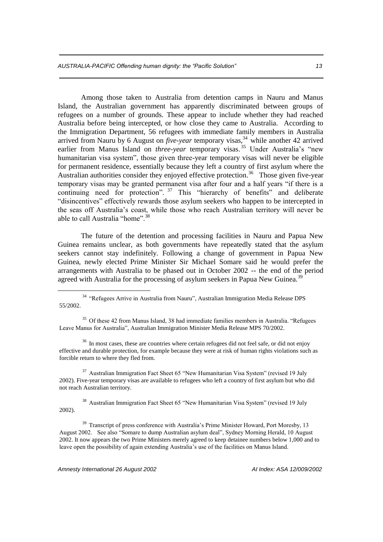Among those taken to Australia from detention camps in Nauru and Manus Island, the Australian government has apparently discriminated between groups of refugees on a number of grounds. These appear to include whether they had reached Australia before being intercepted, or how close they came to Australia. According to the Immigration Department, 56 refugees with immediate family members in Australia arrived from Nauru by 6 August on *five-year* temporary visas,<sup>34</sup> while another 42 arrived earlier from Manus Island on *three-year* temporary visas.<sup>35</sup> Under Australia's "new humanitarian visa system", those given three-year temporary visas will never be eligible for permanent residence, essentially because they left a country of first asylum where the Australian authorities consider they enjoyed effective protection.<sup>36</sup> Those given five-year temporary visas may be granted permanent visa after four and a half years "if there is a continuing need for protection".<sup>37</sup> This "hierarchy of benefits" and deliberate "disincentives" effectively rewards those asylum seekers who happen to be intercepted in the seas off Australia's coast, while those who reach Australian territory will never be able to call Australia "home".<sup>38</sup>

The future of the detention and processing facilities in Nauru and Papua New Guinea remains unclear, as both governments have repeatedly stated that the asylum seekers cannot stay indefinitely. Following a change of government in Papua New Guinea, newly elected Prime Minister Sir Michael Somare said he would prefer the arrangements with Australia to be phased out in October 2002 -- the end of the period agreed with Australia for the processing of asylum seekers in Papua New Guinea.<sup>39</sup>

<sup>35</sup> Of these 42 from Manus Island, 38 had immediate families members in Australia. "Refugees" Leave Manus for Australia", Australian Immigration Minister Media Release MPS 70/2002.

<sup>36</sup> In most cases, these are countries where certain refugees did not feel safe, or did not enjoy effective and durable protection, for example because they were at risk of human rights violations such as forcible return to where they fled from.

<sup>37</sup> Australian Immigration Fact Sheet 65 "New Humanitarian Visa System" (revised 19 July 2002). Five-year temporary visas are available to refugees who left a country of first asylum but who did not reach Australian territory.

<sup>38</sup> Australian Immigration Fact Sheet 65 "New Humanitarian Visa System" (revised 19 July 2002).

<sup>39</sup> Transcript of press conference with Australia's Prime Minister Howard, Port Moresby, 13 August 2002. See also "Somare to dump Australian asylum deal", Sydney Morning Herald, 10 August 2002. It now appears the two Prime Ministers merely agreed to keep detainee numbers below 1,000 and to leave open the possibility of again extending Australia's use of the facilities on Manus Island.

*Amnesty International 26 August 2002 AI Index: ASA 12/009/2002*

<sup>34</sup> "Refugees Arrive in Australia from Nauru", Australian Immigration Media Release DPS 55/2002.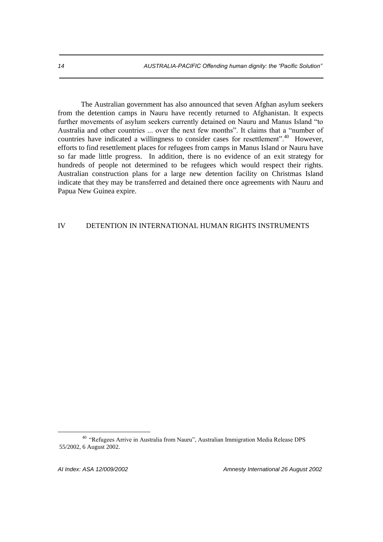The Australian government has also announced that seven Afghan asylum seekers from the detention camps in Nauru have recently returned to Afghanistan. It expects further movements of asylum seekers currently detained on Nauru and Manus Island "to Australia and other countries ... over the next few months". It claims that a "number of countries have indicated a willingness to consider cases for resettlement".<sup>40</sup> However, efforts to find resettlement places for refugees from camps in Manus Island or Nauru have so far made little progress. In addition, there is no evidence of an exit strategy for hundreds of people not determined to be refugees which would respect their rights. Australian construction plans for a large new detention facility on Christmas Island indicate that they may be transferred and detained there once agreements with Nauru and Papua New Guinea expire.

## IV DETENTION IN INTERNATIONAL HUMAN RIGHTS INSTRUMENTS

<sup>40</sup> "Refugees Arrive in Australia from Nauru", Australian Immigration Media Release DPS 55/2002, 6 August 2002.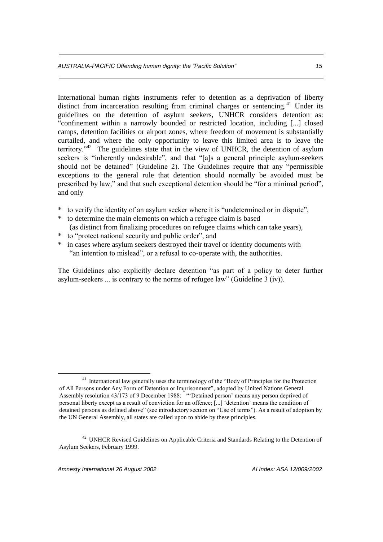International human rights instruments refer to detention as a deprivation of liberty distinct from incarceration resulting from criminal charges or sentencing.<sup>41</sup> Under its guidelines on the detention of asylum seekers, UNHCR considers detention as: "confinement within a narrowly bounded or restricted location, including [...] closed camps, detention facilities or airport zones, where freedom of movement is substantially curtailed, and where the only opportunity to leave this limited area is to leave the territory." $42$  The guidelines state that in the view of UNHCR, the detention of asylum seekers is "inherently undesirable", and that "[a]s a general principle asylum-seekers should not be detained" (Guideline 2). The Guidelines require that any "permissible exceptions to the general rule that detention should normally be avoided must be prescribed by law," and that such exceptional detention should be "for a minimal period", and only

- \* to verify the identity of an asylum seeker where it is "undetermined or in dispute",
- \* to determine the main elements on which a refugee claim is based (as distinct from finalizing procedures on refugee claims which can take years),
- \* to "protect national security and public order", and
- \* in cases where asylum seekers destroyed their travel or identity documents with "an intention to mislead", or a refusal to co-operate with, the authorities.

The Guidelines also explicitly declare detention "as part of a policy to deter further asylum-seekers ... is contrary to the norms of refugee law" (Guideline 3 (iv)).

<sup>&</sup>lt;sup>41</sup> International law generally uses the terminology of the "Body of Principles for the Protection of All Persons under Any Form of Detention or Imprisonment", adopted by United Nations General Assembly resolution 43/173 of 9 December 1988: "'Detained person' means any person deprived of personal liberty except as a result of conviction for an offence; [...] 'detention' means the condition of detained persons as defined above" (see introductory section on "Use of terms"). As a result of adoption by the UN General Assembly, all states are called upon to abide by these principles.

<sup>&</sup>lt;sup>42</sup> UNHCR Revised Guidelines on Applicable Criteria and Standards Relating to the Detention of Asylum Seekers, February 1999.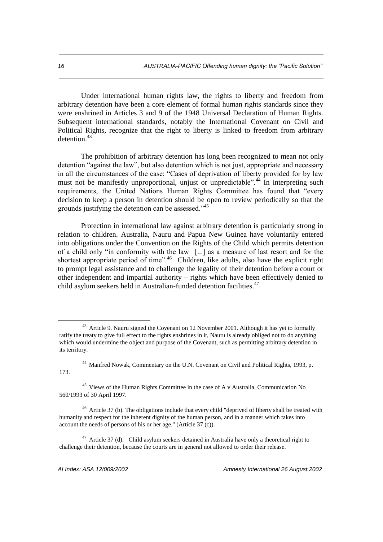Under international human rights law, the rights to liberty and freedom from arbitrary detention have been a core element of formal human rights standards since they were enshrined in Articles 3 and 9 of the 1948 Universal Declaration of Human Rights. Subsequent international standards, notably the International Covenant on Civil and Political Rights, recognize that the right to liberty is linked to freedom from arbitrary detention<sup>43</sup>

The prohibition of arbitrary detention has long been recognized to mean not only detention "against the law", but also detention which is not just, appropriate and necessary in all the circumstances of the case: "Cases of deprivation of liberty provided for by law must not be manifestly unproportional, unjust or unpredictable".<sup>44</sup> In interpreting such requirements, the United Nations Human Rights Committee has found that "every decision to keep a person in detention should be open to review periodically so that the grounds justifying the detention can be assessed."<sup>45</sup>

Protection in international law against arbitrary detention is particularly strong in relation to children. Australia, Nauru and Papua New Guinea have voluntarily entered into obligations under the Convention on the Rights of the Child which permits detention of a child only "in conformity with the law [...] as a measure of last resort and for the shortest appropriate period of time".<sup>46</sup> Children, like adults, also have the explicit right to prompt legal assistance and to challenge the legality of their detention before a court or other independent and impartial authority – rights which have been effectively denied to child asylum seekers held in Australian-funded detention facilities.<sup>47</sup>

<sup>46</sup> Article 37 (b). The obligations include that every child "deprived of liberty shall be treated with humanity and respect for the inherent dignity of the human person, and in a manner which takes into account the needs of persons of his or her age." (Article 37 (c)).

 $47$  Article 37 (d). Child asylum seekers detained in Australia have only a theoretical right to challenge their detention, because the courts are in general not allowed to order their release.

<sup>&</sup>lt;sup>43</sup> Article 9. Nauru signed the Covenant on 12 November 2001. Although it has yet to formally ratify the treaty to give full effect to the rights enshrines in it, Nauru is already obliged not to do anything which would undermine the object and purpose of the Covenant, such as permitting arbitrary detention in its territory.

<sup>&</sup>lt;sup>44</sup> Manfred Nowak, Commentary on the U.N. Covenant on Civil and Political Rights, 1993, p. 173.

<sup>45</sup> Views of the Human Rights Committee in the case of A v Australia, Communication No 560/1993 of 30 April 1997.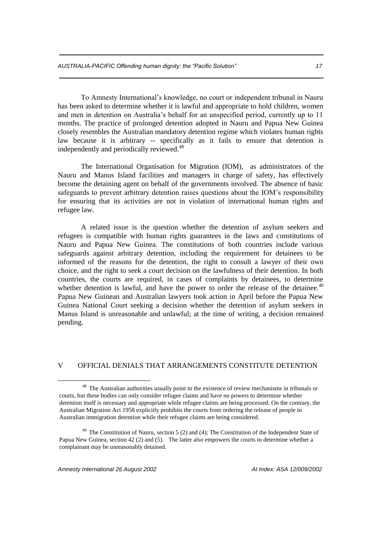To Amnesty International's knowledge, no court or independent tribunal in Nauru has been asked to determine whether it is lawful and appropriate to hold children, women and men in detention on Australia's behalf for an unspecified period, currently up to 11 months. The practice of prolonged detention adopted in Nauru and Papua New Guinea closely resembles the Australian mandatory detention regime which violates human rights law because it is arbitrary -- specifically as it fails to ensure that detention is independently and periodically reviewed.<sup>48</sup>

The International Organisation for Migration (IOM), as administrators of the Nauru and Manus Island facilities and managers in charge of safety, has effectively become the detaining agent on behalf of the governments involved. The absence of basic safeguards to prevent arbitrary detention raises questions about the IOM's responsibility for ensuring that its activities are not in violation of international human rights and refugee law.

A related issue is the question whether the detention of asylum seekers and refugees is compatible with human rights guarantees in the laws and constitutions of Nauru and Papua New Guinea. The constitutions of both countries include various safeguards against arbitrary detention, including the requirement for detainees to be informed of the reasons for the detention, the right to consult a lawyer of their own choice, and the right to seek a court decision on the lawfulness of their detention. In both countries, the courts are required, in cases of complaints by detainees, to determine whether detention is lawful, and have the power to order the release of the detainee.<sup>49</sup> Papua New Guinean and Australian lawyers took action in April before the Papua New Guinea National Court seeking a decision whether the detention of asylum seekers in Manus Island is unreasonable and unlawful; at the time of writing, a decision remained pending.

#### V OFFICIAL DENIALS THAT ARRANGEMENTS CONSTITUTE DETENTION

<sup>&</sup>lt;sup>48</sup> The Australian authorities usually point to the existence of review mechanisms in tribunals or courts, but these bodies can only consider refugee claims and have no powers to determine whether detention itself is necessary and appropriate while refugee claims are being processed. On the contrary, the Australian Migration Act 1958 explicitly prohibits the courts from ordering the release of people in Australian immigration detention while their refugee claims are being considered.

 $49$  The Constitution of Nauru, section 5 (2) and (4); The Constitution of the Independent State of Papua New Guinea, section 42 (2) and (5). The latter also empowers the courts to determine whether a complainant may be unreasonably detained.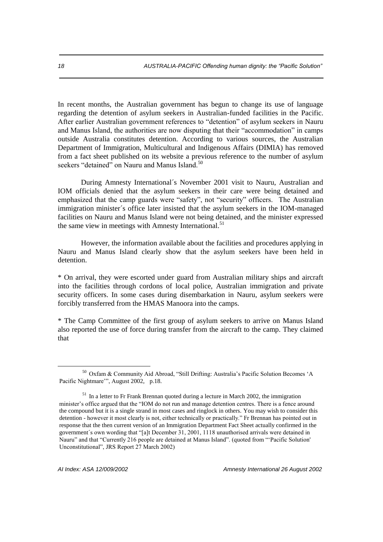In recent months, the Australian government has begun to change its use of language regarding the detention of asylum seekers in Australian-funded facilities in the Pacific. After earlier Australian government references to "detention" of asylum seekers in Nauru and Manus Island, the authorities are now disputing that their "accommodation" in camps outside Australia constitutes detention. According to various sources, the Australian Department of Immigration, Multicultural and Indigenous Affairs (DIMIA) has removed from a fact sheet published on its website a previous reference to the number of asylum seekers "detained" on Nauru and Manus Island.<sup>50</sup>

During Amnesty International´s November 2001 visit to Nauru, Australian and IOM officials denied that the asylum seekers in their care were being detained and emphasized that the camp guards were "safety", not "security" officers. The Australian immigration minister´s office later insisted that the asylum seekers in the IOM-managed facilities on Nauru and Manus Island were not being detained, and the minister expressed the same view in meetings with Amnesty International.<sup>51</sup>

However, the information available about the facilities and procedures applying in Nauru and Manus Island clearly show that the asylum seekers have been held in detention.

\* On arrival, they were escorted under guard from Australian military ships and aircraft into the facilities through cordons of local police, Australian immigration and private security officers. In some cases during disembarkation in Nauru, asylum seekers were forcibly transferred from the HMAS Manoora into the camps.

\* The Camp Committee of the first group of asylum seekers to arrive on Manus Island also reported the use of force during transfer from the aircraft to the camp. They claimed that

<sup>50</sup> Oxfam & Community Aid Abroad, "Still Drifting: Australia's Pacific Solution Becomes 'A Pacific Nightmare'", August 2002, p.18.

 $51$  In a letter to Fr Frank Brennan quoted during a lecture in March 2002, the immigration minister's office argued that the "IOM do not run and manage detention centres. There is a fence around the compound but it is a single strand in most cases and ringlock in others. You may wish to consider this detention - however it most clearly is not, either technically or practically." Fr Brennan has pointed out in response that the then current version of an Immigration Department Fact Sheet actually confirmed in the government´s own wording that "[a]t December 31, 2001, 1118 unauthorised arrivals were detained in Nauru" and that "Currently 216 people are detained at Manus Island". (quoted from "'Pacific Solution' Unconstitutional", JRS Report 27 March 2002)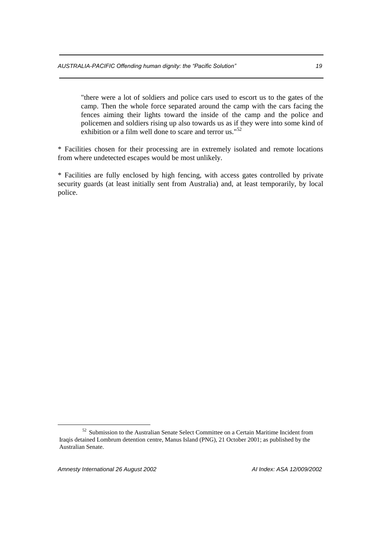"there were a lot of soldiers and police cars used to escort us to the gates of the camp. Then the whole force separated around the camp with the cars facing the fences aiming their lights toward the inside of the camp and the police and policemen and soldiers rising up also towards us as if they were into some kind of exhibition or a film well done to scare and terror us."<sup>52</sup>

\* Facilities chosen for their processing are in extremely isolated and remote locations from where undetected escapes would be most unlikely.

\* Facilities are fully enclosed by high fencing, with access gates controlled by private security guards (at least initially sent from Australia) and, at least temporarily, by local police.

<sup>&</sup>lt;sup>52</sup> Submission to the Australian Senate Select Committee on a Certain Maritime Incident from Iraqis detained Lombrum detention centre, Manus Island (PNG), 21 October 2001; as published by the Australian Senate.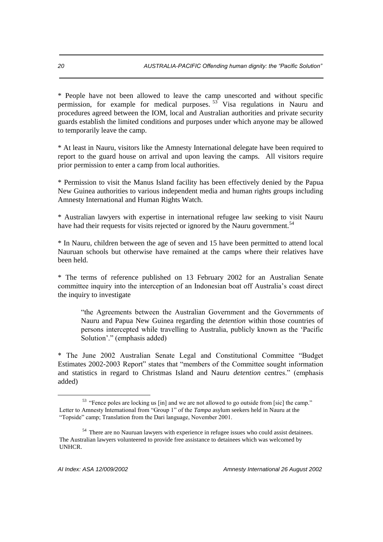\* People have not been allowed to leave the camp unescorted and without specific permission, for example for medical purposes.  $53^{\circ}$  Visa regulations in Nauru and procedures agreed between the IOM, local and Australian authorities and private security guards establish the limited conditions and purposes under which anyone may be allowed to temporarily leave the camp.

\* At least in Nauru, visitors like the Amnesty International delegate have been required to report to the guard house on arrival and upon leaving the camps. All visitors require prior permission to enter a camp from local authorities.

\* Permission to visit the Manus Island facility has been effectively denied by the Papua New Guinea authorities to various independent media and human rights groups including Amnesty International and Human Rights Watch.

\* Australian lawyers with expertise in international refugee law seeking to visit Nauru have had their requests for visits rejected or ignored by the Nauru government.<sup>54</sup>

\* In Nauru, children between the age of seven and 15 have been permitted to attend local Nauruan schools but otherwise have remained at the camps where their relatives have been held.

\* The terms of reference published on 13 February 2002 for an Australian Senate committee inquiry into the interception of an Indonesian boat off Australia's coast direct the inquiry to investigate

"the Agreements between the Australian Government and the Governments of Nauru and Papua New Guinea regarding the *detention* within those countries of persons intercepted while travelling to Australia, publicly known as the 'Pacific Solution'." (emphasis added)

\* The June 2002 Australian Senate Legal and Constitutional Committee "Budget Estimates 2002-2003 Report" states that "members of the Committee sought information and statistics in regard to Christmas Island and Nauru *detention* centres." (emphasis added)

1

<sup>&</sup>lt;sup>53</sup> "Fence poles are locking us [in] and we are not allowed to go outside from [sic] the camp." Letter to Amnesty International from "Group 1" of the *Tampa* asylum seekers held in Nauru at the "Topside" camp; Translation from the Dari language, November 2001.

<sup>&</sup>lt;sup>54</sup> There are no Nauruan lawyers with experience in refugee issues who could assist detainees. The Australian lawyers volunteered to provide free assistance to detainees which was welcomed by UNHCR.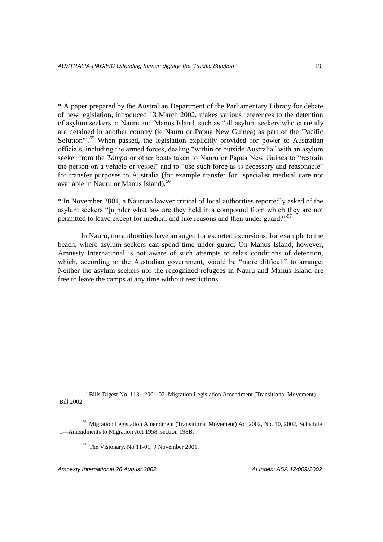\* A paper prepared by the Australian Department of the Parliamentary Library for debate of new legislation, introduced 13 March 2002, makes various references to the detention of asylum seekers in Nauru and Manus Island, such as "all asylum seekers who currently are detained in another country (ie Nauru or Papua New Guinea) as part of the 'Pacific Solution<sup>", 55</sup> When passed, the legislation explicitly provided for power to Australian officials, including the armed forces, dealing "within or outside Australia" with an asylum seeker from the *Tampa* or other boats taken to Nauru or Papua New Guinea to "restrain the person on a vehicle or vessel" and to "use such force as is necessary and reasonable" for transfer purposes to Australia (for example transfer for specialist medical care not available in Nauru or Manus Island).<sup>56</sup>

\* In November 2001, a Nauruan lawyer critical of local authorities reportedly asked of the asylum seekers "[u]nder what law are they held in a compound from which they are not permitted to leave except for medical and like reasons and then under guard?"<sup>57</sup>

In Nauru, the authorities have arranged for escorted excursions, for example to the beach, where asylum seekers can spend time under guard. On Manus Island, however, Amnesty International is not aware of such attempts to relax conditions of detention, which, according to the Australian government, would be "more difficult" to arrange. Neither the asylum seekers nor the recognized refugees in Nauru and Manus Island are free to leave the camps at any time without restrictions.

*Amnesty International 26 August 2002 AI Index: ASA 12/009/2002*

1

<sup>55</sup> Bills Digest No. 113 2001-02, Migration Legislation Amendment (Transitional Movement) Bill 2002.

<sup>56</sup> Migration Legislation Amendment (Transitional Movement) Act 2002, No. 10, 2002, Schedule 1—Amendments to Migration Act 1958, section 198B.

<sup>57</sup> The Visionary, No 11-01, 9 November 2001.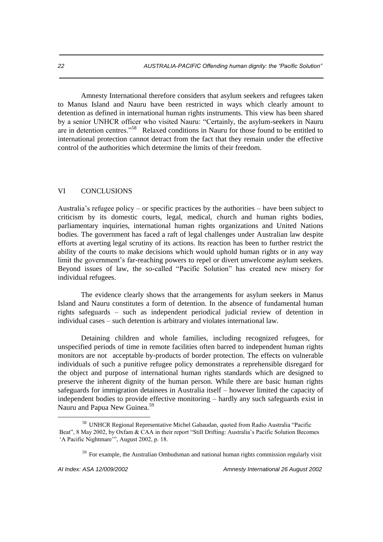Amnesty International therefore considers that asylum seekers and refugees taken to Manus Island and Nauru have been restricted in ways which clearly amount to detention as defined in international human rights instruments. This view has been shared by a senior UNHCR officer who visited Nauru: "Certainly, the asylum-seekers in Nauru are in detention centres."<sup>58</sup> Relaxed conditions in Nauru for those found to be entitled to international protection cannot detract from the fact that they remain under the effective control of the authorities which determine the limits of their freedom.

### VI CONCLUSIONS

Australia's refugee policy – or specific practices by the authorities – have been subject to criticism by its domestic courts, legal, medical, church and human rights bodies, parliamentary inquiries, international human rights organizations and United Nations bodies. The government has faced a raft of legal challenges under Australian law despite efforts at averting legal scrutiny of its actions. Its reaction has been to further restrict the ability of the courts to make decisions which would uphold human rights or in any way limit the government's far-reaching powers to repel or divert unwelcome asylum seekers. Beyond issues of law, the so-called "Pacific Solution" has created new misery for individual refugees.

The evidence clearly shows that the arrangements for asylum seekers in Manus Island and Nauru constitutes a form of detention. In the absence of fundamental human rights safeguards – such as independent periodical judicial review of detention in individual cases – such detention is arbitrary and violates international law.

Detaining children and whole families, including recognized refugees, for unspecified periods of time in remote facilities often barred to independent human rights monitors are not acceptable by-products of border protection. The effects on vulnerable individuals of such a punitive refugee policy demonstrates a reprehensible disregard for the object and purpose of international human rights standards which are designed to preserve the inherent dignity of the human person. While there are basic human rights safeguards for immigration detainees in Australia itself – however limited the capacity of independent bodies to provide effective monitoring – hardly any such safeguards exist in Nauru and Papua New Guinea.<sup>59</sup>

<sup>58</sup> UNHCR Regional Representative Michel Gabaudan, quoted from Radio Australia "Pacific Beat", 8 May 2002, by Oxfam & CAA in their report "Still Drifting: Australia's Pacific Solution Becomes 'A Pacific Nightmare'", August 2002, p. 18.

<sup>&</sup>lt;sup>59</sup> For example, the Australian Ombudsman and national human rights commission regularly visit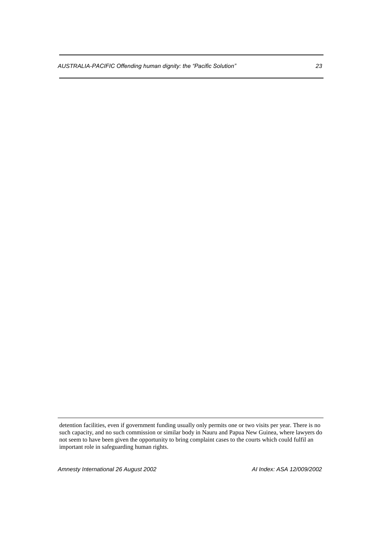*AUSTRALIA-PACIFIC Offending human dignity: the "Pacific Solution" 23*

*Amnesty International 26 August 2002 AI Index: ASA 12/009/2002*

detention facilities, even if government funding usually only permits one or two visits per year. There is no such capacity, and no such commission or similar body in Nauru and Papua New Guinea, where lawyers do not seem to have been given the opportunity to bring complaint cases to the courts which could fulfil an important role in safeguarding human rights.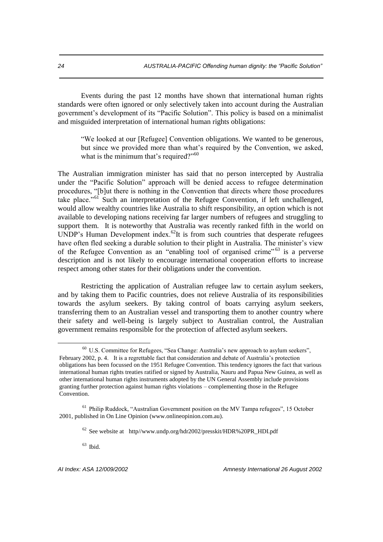Events during the past 12 months have shown that international human rights standards were often ignored or only selectively taken into account during the Australian government's development of its "Pacific Solution". This policy is based on a minimalist and misguided interpretation of international human rights obligations:

"We looked at our [Refugee] Convention obligations. We wanted to be generous, but since we provided more than what's required by the Convention, we asked, what is the minimum that's required?"<sup>60</sup>

The Australian immigration minister has said that no person intercepted by Australia under the "Pacific Solution" approach will be denied access to refugee determination procedures, "[b]ut there is nothing in the Convention that directs where those procedures take place."<sup>61</sup> Such an interpretation of the Refugee Convention, if left unchallenged, would allow wealthy countries like Australia to shift responsibility, an option which is not available to developing nations receiving far larger numbers of refugees and struggling to support them. It is noteworthy that Australia was recently ranked fifth in the world on UNDP's Human Development index. $^{62}$ It is from such countries that desperate refugees have often fled seeking a durable solution to their plight in Australia. The minister's view of the Refugee Convention as an "enabling tool of organised crime"<sup>63</sup> is a perverse description and is not likely to encourage international cooperation efforts to increase respect among other states for their obligations under the convention.

Restricting the application of Australian refugee law to certain asylum seekers, and by taking them to Pacific countries, does not relieve Australia of its responsibilities towards the asylum seekers. By taking control of boats carrying asylum seekers, transferring them to an Australian vessel and transporting them to another country where their safety and well-being is largely subject to Australian control, the Australian government remains responsible for the protection of affected asylum seekers.

 $^{63}$  Ibid.

1

<sup>60</sup> U.S. Committee for Refugees, "Sea Change: Australia's new approach to asylum seekers", February 2002, p. 4. It is a regrettable fact that consideration and debate of Australia's protection obligations has been focussed on the 1951 Refugee Convention. This tendency ignores the fact that various international human rights treaties ratified or signed by Australia, Nauru and Papua New Guinea, as well as other international human rights instruments adopted by the UN General Assembly include provisions granting further protection against human rights violations – complementing those in the Refugee Convention.

<sup>&</sup>lt;sup>61</sup> Philip Ruddock, "Australian Government position on the MV Tampa refugees", 15 October 2001, published in On Line Opinion (www.onlineopinion.com.au).

 $62$  See website at http//www.undp.org/hdr2002/presskit/HDR%20PR HDI.pdf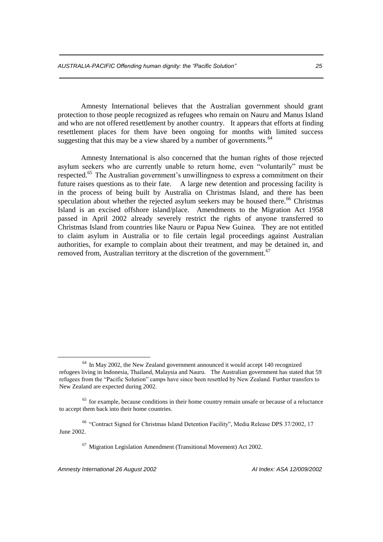Amnesty International believes that the Australian government should grant protection to those people recognized as refugees who remain on Nauru and Manus Island and who are not offered resettlement by another country. It appears that efforts at finding resettlement places for them have been ongoing for months with limited success suggesting that this may be a view shared by a number of governments.<sup>64</sup>

Amnesty International is also concerned that the human rights of those rejected asylum seekers who are currently unable to return home, even "voluntarily" must be respected.<sup>65</sup> The Australian government's unwillingness to express a commitment on their future raises questions as to their fate. A large new detention and processing facility is in the process of being built by Australia on Christmas Island, and there has been speculation about whether the rejected asylum seekers may be housed there.<sup>66</sup> Christmas Island is an excised offshore island/place. Amendments to the Migration Act 1958 passed in April 2002 already severely restrict the rights of anyone transferred to Christmas Island from countries like Nauru or Papua New Guinea. They are not entitled to claim asylum in Australia or to file certain legal proceedings against Australian authorities, for example to complain about their treatment, and may be detained in, and removed from, Australian territory at the discretion of the government.<sup>67</sup>

<sup>66</sup> "Contract Signed for Christmas Island Detention Facility", Media Release DPS 37/2002, 17 June 2002.

 $67$  Migration Legislation Amendment (Transitional Movement) Act 2002.

*Amnesty International 26 August 2002 AI Index: ASA 12/009/2002*

<sup>&</sup>lt;sup>64</sup> In May 2002, the New Zealand government announced it would accept 140 recognized refugees living in Indonesia, Thailand, Malaysia and Nauru. The Australian government has stated that 59 refugees from the "Pacific Solution" camps have since been resettled by New Zealand. Further transfers to New Zealand are expected during 2002.

 $<sup>65</sup>$  for example, because conditions in their home country remain unsafe or because of a reluctance</sup> to accept them back into their home countries.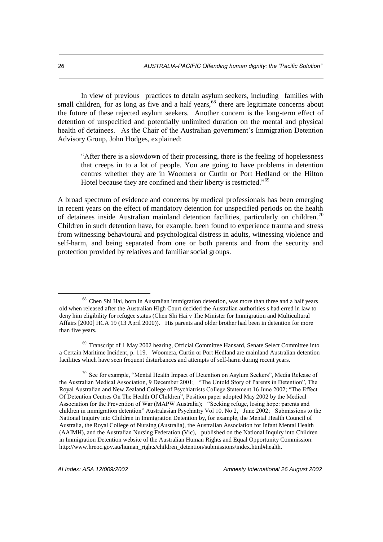In view of previous practices to detain asylum seekers, including families with small children, for as long as five and a half years, $68$  there are legitimate concerns about the future of these rejected asylum seekers. Another concern is the long-term effect of detention of unspecified and potentially unlimited duration on the mental and physical health of detainees. As the Chair of the Australian government's Immigration Detention Advisory Group, John Hodges, explained:

"After there is a slowdown of their processing, there is the feeling of hopelessness that creeps in to a lot of people. You are going to have problems in detention centres whether they are in Woomera or Curtin or Port Hedland or the Hilton Hotel because they are confined and their liberty is restricted."<sup>69</sup>

A broad spectrum of evidence and concerns by medical professionals has been emerging in recent years on the effect of mandatory detention for unspecified periods on the health of detainees inside Australian mainland detention facilities, particularly on children.<sup>70</sup> Children in such detention have, for example, been found to experience trauma and stress from witnessing behavioural and psychological distress in adults, witnessing violence and self-harm, and being separated from one or both parents and from the security and protection provided by relatives and familiar social groups.

<sup>70</sup> See for example, "Mental Health Impact of Detention on Asylum Seekers", Media Release of the Australian Medical Association, 9 December 2001; "The Untold Story of Parents in Detention", The Royal Australian and New Zealand College of Psychiatrists College Statement 16 June 2002; "The Effect Of Detention Centres On The Health Of Children", Position paper adopted May 2002 by the Medical Association for the Prevention of War (MAPW Australia); "Seeking refuge, losing hope: parents and children in immigration detention" Australasian Psychiatry Vol 10. No 2, June 2002; Submissions to the National Inquiry into Children in Immigration Detention by, for example, the Mental Health Council of Australia, the Royal College of Nursing (Australia), the Australian Association for Infant Mental Health (AAIMH), and the Australian Nursing Federation (Vic), published on the National Inquiry into Children in Immigration Detention website of the Australian Human Rights and Equal Opportunity Commission: http://www.hreoc.gov.au/human\_rights/children\_detention/submissions/index.html#health.

<sup>&</sup>lt;sup>68</sup> Chen Shi Hai, born in Australian immigration detention, was more than three and a half years old when released after the Australian High Court decided the Australian authorities s had erred in law to deny him eligibility for refugee status (Chen Shi Hai v The Minister for Immigration and Multicultural Affairs [2000] HCA 19 (13 April 2000)). His parents and older brother had been in detention for more than five years.

 $69$  Transcript of 1 May 2002 hearing, Official Committee Hansard, Senate Select Committee into a Certain Maritime Incident, p. 119. Woomera, Curtin or Port Hedland are mainland Australian detention facilities which have seen frequent disturbances and attempts of self-harm during recent years.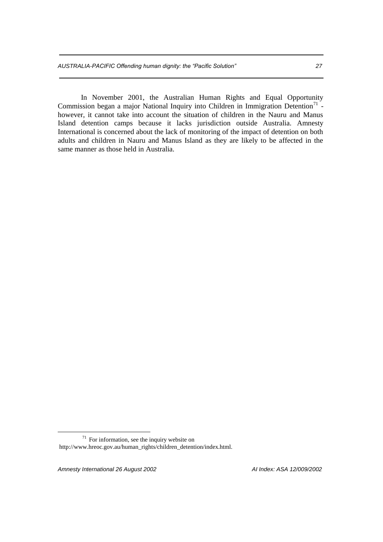In November 2001, the Australian Human Rights and Equal Opportunity Commission began a major National Inquiry into Children in Immigration Detention<sup>71</sup> however, it cannot take into account the situation of children in the Nauru and Manus Island detention camps because it lacks jurisdiction outside Australia. Amnesty International is concerned about the lack of monitoring of the impact of detention on both adults and children in Nauru and Manus Island as they are likely to be affected in the same manner as those held in Australia.

*Amnesty International 26 August 2002 AI Index: ASA 12/009/2002*

<sup>71</sup> For information, see the inquiry website on http://www.hreoc.gov.au/human\_rights/children\_detention/index.html.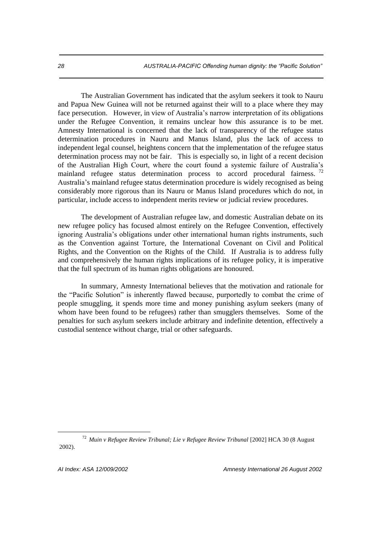The Australian Government has indicated that the asylum seekers it took to Nauru and Papua New Guinea will not be returned against their will to a place where they may face persecution. However, in view of Australia's narrow interpretation of its obligations under the Refugee Convention, it remains unclear how this assurance is to be met. Amnesty International is concerned that the lack of transparency of the refugee status determination procedures in Nauru and Manus Island, plus the lack of access to independent legal counsel, heightens concern that the implementation of the refugee status determination process may not be fair. This is especially so, in light of a recent decision of the Australian High Court, where the court found a systemic failure of Australia's mainland refugee status determination process to accord procedural fairness.  $72$ Australia's mainland refugee status determination procedure is widely recognised as being considerably more rigorous than its Nauru or Manus Island procedures which do not, in particular, include access to independent merits review or judicial review procedures.

The development of Australian refugee law, and domestic Australian debate on its new refugee policy has focused almost entirely on the Refugee Convention, effectively ignoring Australia's obligations under other international human rights instruments, such as the Convention against Torture, the International Covenant on Civil and Political Rights, and the Convention on the Rights of the Child. If Australia is to address fully and comprehensively the human rights implications of its refugee policy, it is imperative that the full spectrum of its human rights obligations are honoured.

In summary, Amnesty International believes that the motivation and rationale for the "Pacific Solution" is inherently flawed because, purportedly to combat the crime of people smuggling, it spends more time and money punishing asylum seekers (many of whom have been found to be refugees) rather than smugglers themselves. Some of the penalties for such asylum seekers include arbitrary and indefinite detention, effectively a custodial sentence without charge, trial or other safeguards.

<sup>72</sup> *Muin v Refugee Review Tribunal; Lie v Refugee Review Tribunal* [2002] HCA 30 (8 August 2002).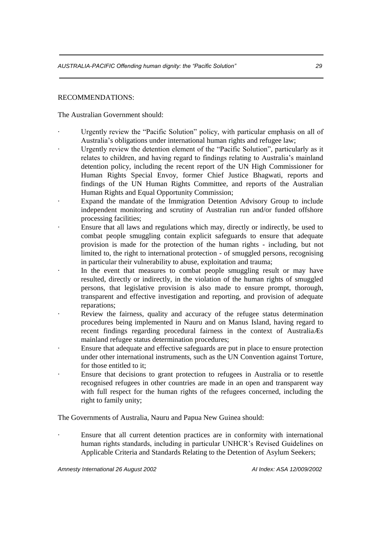## RECOMMENDATIONS:

The Australian Government should:

- · Urgently review the "Pacific Solution" policy, with particular emphasis on all of Australia's obligations under international human rights and refugee law;
- Urgently review the detention element of the "Pacific Solution", particularly as it relates to children, and having regard to findings relating to Australia's mainland detention policy, including the recent report of the UN High Commissioner for Human Rights Special Envoy, former Chief Justice Bhagwati, reports and findings of the UN Human Rights Committee, and reports of the Australian Human Rights and Equal Opportunity Commission;
- Expand the mandate of the Immigration Detention Advisory Group to include independent monitoring and scrutiny of Australian run and/or funded offshore processing facilities;
- · Ensure that all laws and regulations which may, directly or indirectly, be used to combat people smuggling contain explicit safeguards to ensure that adequate provision is made for the protection of the human rights - including, but not limited to, the right to international protection - of smuggled persons, recognising in particular their vulnerability to abuse, exploitation and trauma;
- · In the event that measures to combat people smuggling result or may have resulted, directly or indirectly, in the violation of the human rights of smuggled persons, that legislative provision is also made to ensure prompt, thorough, transparent and effective investigation and reporting, and provision of adequate reparations;
- · Review the fairness, quality and accuracy of the refugee status determination procedures being implemented in Nauru and on Manus Island, having regard to recent findings regarding procedural fairness in the context of AustraliaÆs mainland refugee status determination procedures;
- · Ensure that adequate and effective safeguards are put in place to ensure protection under other international instruments, such as the UN Convention against Torture, for those entitled to it;
- Ensure that decisions to grant protection to refugees in Australia or to resettle recognised refugees in other countries are made in an open and transparent way with full respect for the human rights of the refugees concerned, including the right to family unity;

The Governments of Australia, Nauru and Papua New Guinea should:

· Ensure that all current detention practices are in conformity with international human rights standards, including in particular UNHCR's Revised Guidelines on Applicable Criteria and Standards Relating to the Detention of Asylum Seekers;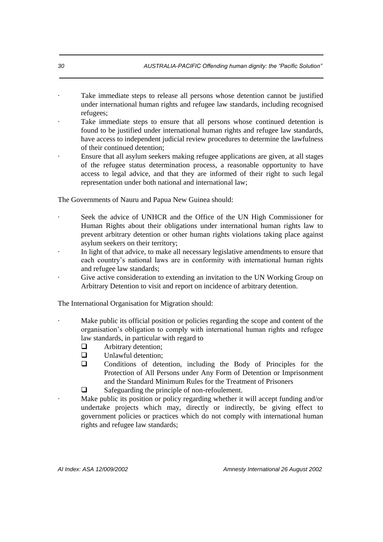- Take immediate steps to release all persons whose detention cannot be justified under international human rights and refugee law standards, including recognised refugees;
- Take immediate steps to ensure that all persons whose continued detention is found to be justified under international human rights and refugee law standards, have access to independent judicial review procedures to determine the lawfulness of their continued detention;
- · Ensure that all asylum seekers making refugee applications are given, at all stages of the refugee status determination process, a reasonable opportunity to have access to legal advice, and that they are informed of their right to such legal representation under both national and international law;

The Governments of Nauru and Papua New Guinea should:

- Seek the advice of UNHCR and the Office of the UN High Commissioner for Human Rights about their obligations under international human rights law to prevent arbitrary detention or other human rights violations taking place against asylum seekers on their territory;
- In light of that advice, to make all necessary legislative amendments to ensure that each country's national laws are in conformity with international human rights and refugee law standards;
- Give active consideration to extending an invitation to the UN Working Group on Arbitrary Detention to visit and report on incidence of arbitrary detention.

The International Organisation for Migration should:

- Make public its official position or policies regarding the scope and content of the organisation's obligation to comply with international human rights and refugee law standards, in particular with regard to
	- $\Box$  Arbitrary detention;
	- **u** Unlawful detention;
	- Conditions of detention, including the Body of Principles for the Protection of All Persons under Any Form of Detention or Imprisonment and the Standard Minimum Rules for the Treatment of Prisoners
	- □ Safeguarding the principle of non-refoulement.

Make public its position or policy regarding whether it will accept funding and/or undertake projects which may, directly or indirectly, be giving effect to government policies or practices which do not comply with international human rights and refugee law standards;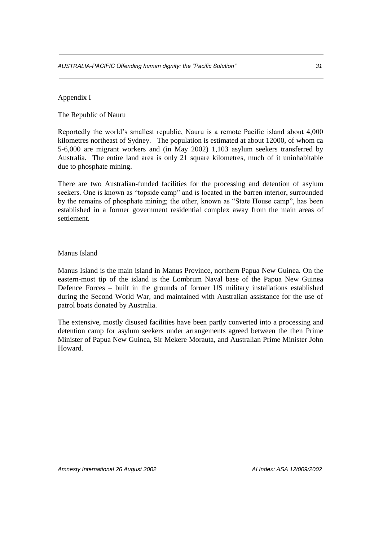Appendix I

The Republic of Nauru

Reportedly the world's smallest republic, Nauru is a remote Pacific island about 4,000 kilometres northeast of Sydney. The population is estimated at about 12000, of whom ca 5-6,000 are migrant workers and (in May 2002) 1,103 asylum seekers transferred by Australia. The entire land area is only 21 square kilometres, much of it uninhabitable due to phosphate mining.

There are two Australian-funded facilities for the processing and detention of asylum seekers. One is known as "topside camp" and is located in the barren interior, surrounded by the remains of phosphate mining; the other, known as "State House camp", has been established in a former government residential complex away from the main areas of settlement.

Manus Island

Manus Island is the main island in Manus Province, northern Papua New Guinea. On the eastern-most tip of the island is the Lombrum Naval base of the Papua New Guinea Defence Forces – built in the grounds of former US military installations established during the Second World War, and maintained with Australian assistance for the use of patrol boats donated by Australia.

The extensive, mostly disused facilities have been partly converted into a processing and detention camp for asylum seekers under arrangements agreed between the then Prime Minister of Papua New Guinea, Sir Mekere Morauta, and Australian Prime Minister John Howard.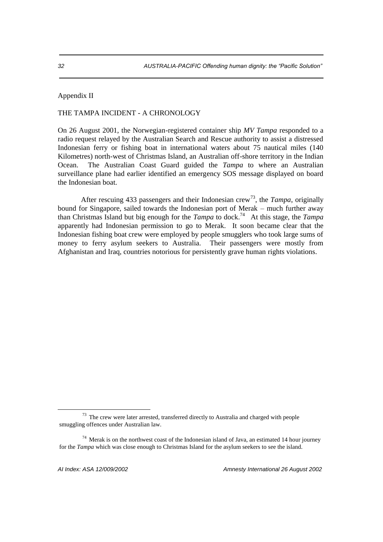Appendix II

## THE TAMPA INCIDENT - A CHRONOLOGY

On 26 August 2001, the Norwegian-registered container ship *MV Tampa* responded to a radio request relayed by the Australian Search and Rescue authority to assist a distressed Indonesian ferry or fishing boat in international waters about 75 nautical miles (140 Kilometres) north-west of Christmas Island, an Australian off-shore territory in the Indian Ocean. The Australian Coast Guard guided the *Tampa* to where an Australian surveillance plane had earlier identified an emergency SOS message displayed on board the Indonesian boat.

After rescuing 433 passengers and their Indonesian crew<sup>73</sup>, the *Tampa*, originally bound for Singapore, sailed towards the Indonesian port of Merak – much further away than Christmas Island but big enough for the *Tampa* to dock.<sup>74</sup> At this stage, the *Tampa* apparently had Indonesian permission to go to Merak. It soon became clear that the Indonesian fishing boat crew were employed by people smugglers who took large sums of money to ferry asylum seekers to Australia. Their passengers were mostly from Afghanistan and Iraq, countries notorious for persistently grave human rights violations.

<sup>73</sup> The crew were later arrested, transferred directly to Australia and charged with people smuggling offences under Australian law.

 $74$  Merak is on the northwest coast of the Indonesian island of Java, an estimated 14 hour journey for the *Tampa* which was close enough to Christmas Island for the asylum seekers to see the island.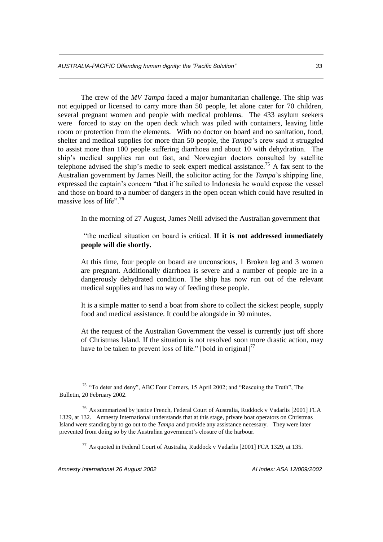The crew of the *MV Tampa* faced a major humanitarian challenge. The ship was not equipped or licensed to carry more than 50 people, let alone cater for 70 children, several pregnant women and people with medical problems. The 433 asylum seekers were forced to stay on the open deck which was piled with containers, leaving little room or protection from the elements. With no doctor on board and no sanitation, food, shelter and medical supplies for more than 50 people, the *Tampa*'s crew said it struggled to assist more than 100 people suffering diarrhoea and about 10 with dehydration. The ship's medical supplies ran out fast, and Norwegian doctors consulted by satellite telephone advised the ship's medic to seek expert medical assistance.<sup>75</sup> A fax sent to the Australian government by James Neill, the solicitor acting for the *Tampa*'s shipping line, expressed the captain's concern "that if he sailed to Indonesia he would expose the vessel and those on board to a number of dangers in the open ocean which could have resulted in massive loss of life".  $76$ 

In the morning of 27 August, James Neill advised the Australian government that

"the medical situation on board is critical. **If it is not addressed immediately people will die shortly.**

At this time, four people on board are unconscious, 1 Broken leg and 3 women are pregnant. Additionally diarrhoea is severe and a number of people are in a dangerously dehydrated condition. The ship has now run out of the relevant medical supplies and has no way of feeding these people.

It is a simple matter to send a boat from shore to collect the sickest people, supply food and medical assistance. It could be alongside in 30 minutes.

At the request of the Australian Government the vessel is currently just off shore of Christmas Island. If the situation is not resolved soon more drastic action, may have to be taken to prevent loss of life." [bold in original]<sup>77</sup>

*Amnesty International 26 August 2002 AI Index: ASA 12/009/2002*

<sup>75</sup> "To deter and deny", ABC Four Corners, 15 April 2002; and "Rescuing the Truth", The Bulletin, 20 February 2002.

<sup>76</sup> As summarized by justice French, Federal Court of Australia, Ruddock v Vadarlis [2001] FCA 1329, at 132. Amnesty International understands that at this stage, private boat operators on Christmas Island were standing by to go out to the *Tampa* and provide any assistance necessary. They were later prevented from doing so by the Australian government's closure of the harbour.

<sup>77</sup> As quoted in Federal Court of Australia, Ruddock v Vadarlis [2001] FCA 1329, at 135.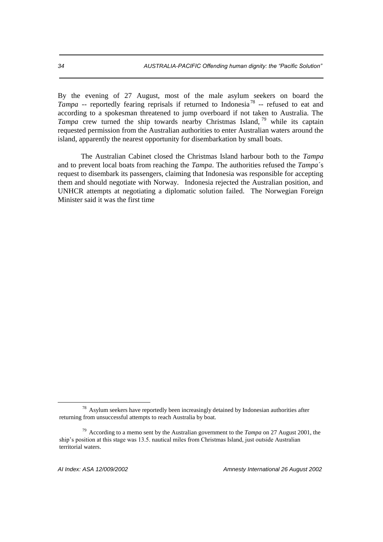By the evening of 27 August, most of the male asylum seekers on board the Tampa -- reportedly fearing reprisals if returned to Indonesia<sup>78</sup> -- refused to eat and according to a spokesman threatened to jump overboard if not taken to Australia. The *Tampa* crew turned the ship towards nearby Christmas Island, <sup>79</sup> while its captain requested permission from the Australian authorities to enter Australian waters around the island, apparently the nearest opportunity for disembarkation by small boats.

The Australian Cabinet closed the Christmas Island harbour both to the *Tampa* and to prevent local boats from reaching the *Tampa*. The authorities refused the *Tampa*´s request to disembark its passengers, claiming that Indonesia was responsible for accepting them and should negotiate with Norway. Indonesia rejected the Australian position, and UNHCR attempts at negotiating a diplomatic solution failed. The Norwegian Foreign Minister said it was the first time

<sup>&</sup>lt;sup>78</sup> Asylum seekers have reportedly been increasingly detained by Indonesian authorities after returning from unsuccessful attempts to reach Australia by boat.

<sup>79</sup> According to a memo sent by the Australian government to the *Tampa* on 27 August 2001, the ship's position at this stage was 13.5. nautical miles from Christmas Island, just outside Australian territorial waters.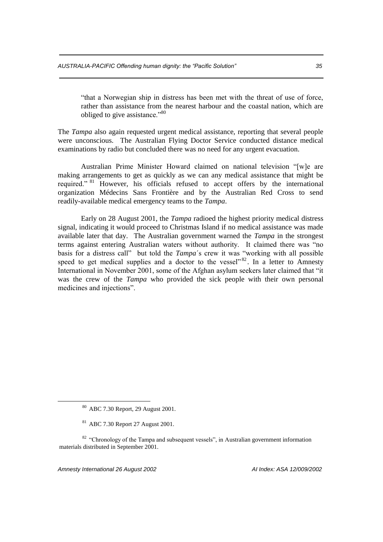"that a Norwegian ship in distress has been met with the threat of use of force, rather than assistance from the nearest harbour and the coastal nation, which are obliged to give assistance."<sup>80</sup>

The *Tampa* also again requested urgent medical assistance, reporting that several people were unconscious. The Australian Flying Doctor Service conducted distance medical examinations by radio but concluded there was no need for any urgent evacuation.

Australian Prime Minister Howard claimed on national television "[w]e are making arrangements to get as quickly as we can any medical assistance that might be required." <sup>81</sup> However, his officials refused to accept offers by the international organization Médecins Sans Frontière and by the Australian Red Cross to send readily-available medical emergency teams to the *Tampa*.

Early on 28 August 2001, the *Tampa* radioed the highest priority medical distress signal, indicating it would proceed to Christmas Island if no medical assistance was made available later that day. The Australian government warned the *Tampa* in the strongest terms against entering Australian waters without authority. It claimed there was "no basis for a distress call" but told the *Tampa*´s crew it was "working with all possible speed to get medical supplies and a doctor to the vessel"  $82$ . In a letter to Amnesty International in November 2001, some of the Afghan asylum seekers later claimed that "it was the crew of the *Tampa* who provided the sick people with their own personal medicines and injections".

*Amnesty International 26 August 2002 AI Index: ASA 12/009/2002*

<sup>80</sup> ABC 7.30 Report, 29 August 2001.

<sup>81</sup> ABC 7.30 Report 27 August 2001.

<sup>&</sup>lt;sup>82</sup> "Chronology of the Tampa and subsequent vessels", in Australian government information materials distributed in September 2001.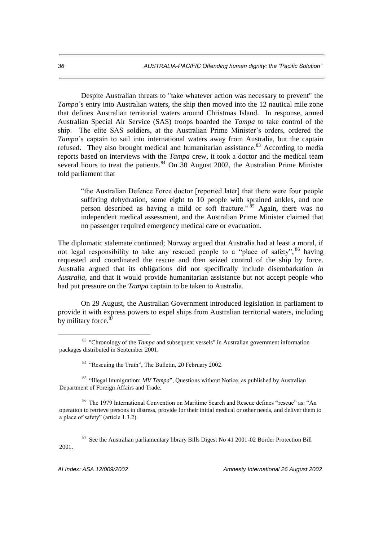Despite Australian threats to "take whatever action was necessary to prevent" the *Tampa*´s entry into Australian waters, the ship then moved into the 12 nautical mile zone that defines Australian territorial waters around Christmas Island. In response, armed Australian Special Air Service (SAS) troops boarded the *Tampa* to take control of the ship. The elite SAS soldiers, at the Australian Prime Minister's orders, ordered the *Tampa*'s captain to sail into international waters away from Australia, but the captain refused. They also brought medical and humanitarian assistance.<sup>83</sup> According to media reports based on interviews with the *Tampa* crew, it took a doctor and the medical team several hours to treat the patients. $84$  On 30 August 2002, the Australian Prime Minister told parliament that

"the Australian Defence Force doctor [reported later] that there were four people suffering dehydration, some eight to 10 people with sprained ankles, and one person described as having a mild or soft fracture."<sup>85</sup> Again, there was no independent medical assessment, and the Australian Prime Minister claimed that no passenger required emergency medical care or evacuation.

The diplomatic stalemate continued; Norway argued that Australia had at least a moral, if not legal responsibility to take any rescued people to a "place of safety", <sup>86</sup> having requested and coordinated the rescue and then seized control of the ship by force. Australia argued that its obligations did not specifically include disembarkation *in Australia*, and that it would provide humanitarian assistance but not accept people who had put pressure on the *Tampa* captain to be taken to Australia.

On 29 August, the Australian Government introduced legislation in parliament to provide it with express powers to expel ships from Australian territorial waters, including by military force.<sup>87</sup>

<sup>85</sup> "Illegal Immigration: *MV Tampa*", Questions without Notice, as published by Australian Department of Foreign Affairs and Trade.

<sup>86</sup> The 1979 International Convention on Maritime Search and Rescue defines "rescue" as: "An operation to retrieve persons in distress, provide for their initial medical or other needs, and deliver them to a place of safety" (article 1.3.2).

 $87$  See the Australian parliamentary library Bills Digest No 41 2001-02 Border Protection Bill 2001.

*AI Index: ASA 12/009/2002 Amnesty International 26 August 2002*

-

<sup>83</sup> "Chronology of the *Tampa* and subsequent vessels" in Australian government information packages distributed in September 2001.

<sup>&</sup>lt;sup>84</sup> "Rescuing the Truth", The Bulletin, 20 February 2002.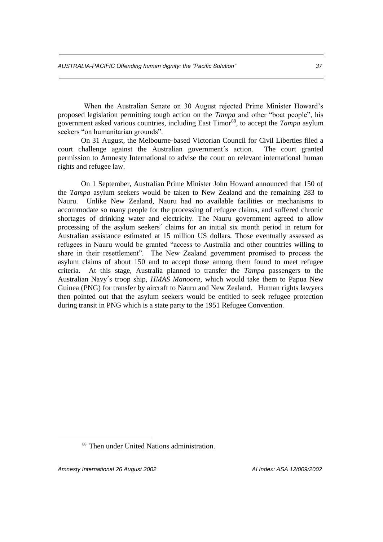When the Australian Senate on 30 August rejected Prime Minister Howard's proposed legislation permitting tough action on the *Tampa* and other "boat people", his government asked various countries, including East Timor<sup>88</sup>, to accept the *Tampa* asylum seekers "on humanitarian grounds".

On 31 August, the Melbourne-based Victorian Council for Civil Liberties filed a court challenge against the Australian government´s action. The court granted permission to Amnesty International to advise the court on relevant international human rights and refugee law.

On 1 September, Australian Prime Minister John Howard announced that 150 of the *Tampa* asylum seekers would be taken to New Zealand and the remaining 283 to Nauru. Unlike New Zealand, Nauru had no available facilities or mechanisms to accommodate so many people for the processing of refugee claims, and suffered chronic shortages of drinking water and electricity. The Nauru government agreed to allow processing of the asylum seekers´ claims for an initial six month period in return for Australian assistance estimated at 15 million US dollars. Those eventually assessed as refugees in Nauru would be granted "access to Australia and other countries willing to share in their resettlement". The New Zealand government promised to process the asylum claims of about 150 and to accept those among them found to meet refugee criteria. At this stage, Australia planned to transfer the *Tampa* passengers to the Australian Navy´s troop ship, *HMAS Manoora*, which would take them to Papua New Guinea (PNG) for transfer by aircraft to Nauru and New Zealand. Human rights lawyers then pointed out that the asylum seekers would be entitled to seek refugee protection during transit in PNG which is a state party to the 1951 Refugee Convention.

*Amnesty International 26 August 2002 AI Index: ASA 12/009/2002*

1

<sup>88</sup> Then under United Nations administration.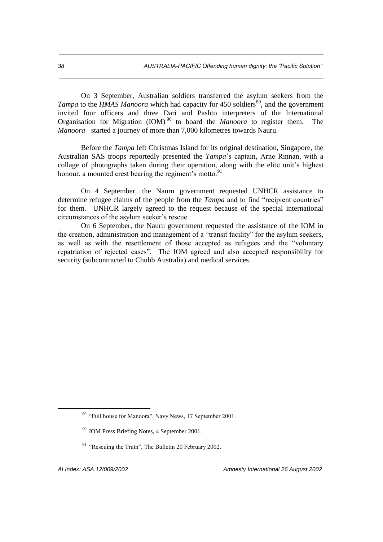On 3 September, Australian soldiers transferred the asylum seekers from the *Tampa* to the *HMAS Manoora* which had capacity for 450 soldiers<sup>89</sup>, and the government invited four officers and three Dari and Pashto interpreters of the International Organisation for Migration (IOM) <sup>90</sup> to board the *Manoora* to register them. The *Manoora* started a journey of more than 7,000 kilometres towards Nauru.

Before the *Tampa* left Christmas Island for its original destination, Singapore, the Australian SAS troops reportedly presented the *Tampa*'s captain, Arne Rinnan, with a collage of photographs taken during their operation, along with the elite unit's highest honour, a mounted crest bearing the regiment's motto.<sup>91</sup>

On 4 September, the Nauru government requested UNHCR assistance to determine refugee claims of the people from the *Tampa* and to find "recipient countries" for them. UNHCR largely agreed to the request because of the special international circumstances of the asylum seeker's rescue.

On 6 September, the Nauru government requested the assistance of the IOM in the creation, administration and management of a "transit facility" for the asylum seekers, as well as with the resettlement of those accepted as refugees and the "voluntary repatriation of rejected cases". The IOM agreed and also accepted responsibility for security (subcontracted to Chubb Australia) and medical services.

<sup>89</sup> "Full house for Manoora", Navy News, 17 September 2001.

<sup>90</sup> IOM Press Briefing Notes, 4 September 2001.

<sup>&</sup>lt;sup>91</sup> "Rescuing the Truth", The Bulletin 20 February 2002.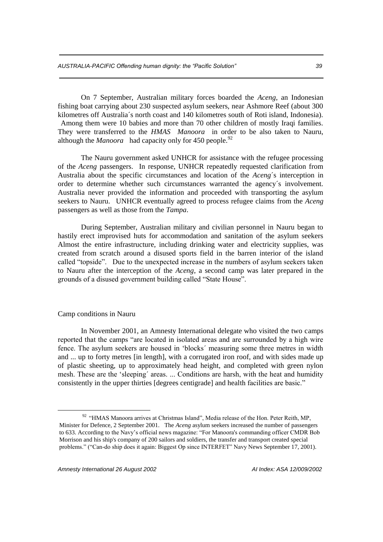On 7 September, Australian military forces boarded the *Aceng*, an Indonesian fishing boat carrying about 230 suspected asylum seekers, near Ashmore Reef (about 300 kilometres off Australia´s north coast and 140 kilometres south of Roti island, Indonesia). Among them were 10 babies and more than 70 other children of mostly Iraqi families. They were transferred to the *HMAS Manoora* in order to be also taken to Nauru, although the *Manoora* had capacity only for 450 people.<sup>92</sup>

The Nauru government asked UNHCR for assistance with the refugee processing of the *Aceng* passengers. In response, UNHCR repeatedly requested clarification from Australia about the specific circumstances and location of the *Aceng*´s interception in order to determine whether such circumstances warranted the agency´s involvement. Australia never provided the information and proceeded with transporting the asylum seekers to Nauru. UNHCR eventually agreed to process refugee claims from the *Aceng* passengers as well as those from the *Tampa*.

During September, Australian military and civilian personnel in Nauru began to hastily erect improvised huts for accommodation and sanitation of the asylum seekers Almost the entire infrastructure, including drinking water and electricity supplies, was created from scratch around a disused sports field in the barren interior of the island called "topside". Due to the unexpected increase in the numbers of asylum seekers taken to Nauru after the interception of the *Aceng*, a second camp was later prepared in the grounds of a disused government building called "State House".

#### Camp conditions in Nauru

1

In November 2001, an Amnesty International delegate who visited the two camps reported that the camps "are located in isolated areas and are surrounded by a high wire fence. The asylum seekers are housed in 'blocks´ measuring some three metres in width and ... up to forty metres [in length], with a corrugated iron roof, and with sides made up of plastic sheeting, up to approximately head height, and completed with green nylon mesh. These are the 'sleeping´ areas. ... Conditions are harsh, with the heat and humidity consistently in the upper thirties [degrees centigrade] and health facilities are basic."

<sup>&</sup>lt;sup>92</sup> "HMAS Manoora arrives at Christmas Island", Media release of the Hon. Peter Reith, MP, Minister for Defence, 2 September 2001. The *Aceng* asylum seekers increased the number of passengers to 633. According to the Navy's official news magazine: "For Manoora's commanding officer CMDR Bob Morrison and his ship's company of 200 sailors and soldiers, the transfer and transport created special problems." ("Can-do ship does it again: Biggest Op since INTERFET" Navy News September 17, 2001).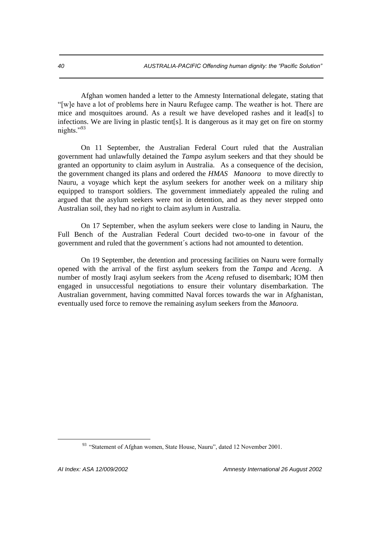Afghan women handed a letter to the Amnesty International delegate, stating that "[w]e have a lot of problems here in Nauru Refugee camp. The weather is hot. There are mice and mosquitoes around. As a result we have developed rashes and it lead[s] to infections. We are living in plastic tent[s]. It is dangerous as it may get on fire on stormy nights."93

On 11 September, the Australian Federal Court ruled that the Australian government had unlawfully detained the *Tampa* asylum seekers and that they should be granted an opportunity to claim asylum in Australia. As a consequence of the decision, the government changed its plans and ordered the *HMAS Manoora* to move directly to Nauru, a voyage which kept the asylum seekers for another week on a military ship equipped to transport soldiers. The government immediately appealed the ruling and argued that the asylum seekers were not in detention, and as they never stepped onto Australian soil, they had no right to claim asylum in Australia.

On 17 September, when the asylum seekers were close to landing in Nauru, the Full Bench of the Australian Federal Court decided two-to-one in favour of the government and ruled that the government´s actions had not amounted to detention.

On 19 September, the detention and processing facilities on Nauru were formally opened with the arrival of the first asylum seekers from the *Tampa* and *Aceng*. A number of mostly Iraqi asylum seekers from the *Aceng* refused to disembark; IOM then engaged in unsuccessful negotiations to ensure their voluntary disembarkation. The Australian government, having committed Naval forces towards the war in Afghanistan, eventually used force to remove the remaining asylum seekers from the *Manoora.* 

<sup>&</sup>lt;sup>93</sup> "Statement of Afghan women, State House, Nauru", dated 12 November 2001.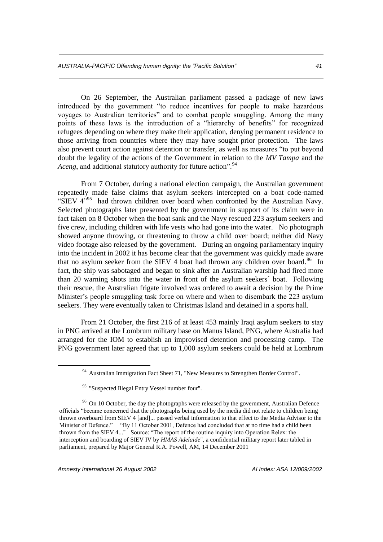On 26 September, the Australian parliament passed a package of new laws introduced by the government "to reduce incentives for people to make hazardous voyages to Australian territories" and to combat people smuggling. Among the many points of these laws is the introduction of a "hierarchy of benefits" for recognized refugees depending on where they make their application, denying permanent residence to those arriving from countries where they may have sought prior protection. The laws also prevent court action against detention or transfer, as well as measures "to put beyond doubt the legality of the actions of the Government in relation to the *MV Tampa* and the *Aceng*, and additional statutory authority for future action".<sup>94</sup>

From 7 October, during a national election campaign, the Australian government repeatedly made false claims that asylum seekers intercepted on a boat code-named "SIEV  $4^{395}$  had thrown children over board when confronted by the Australian Navy. Selected photographs later presented by the government in support of its claim were in fact taken on 8 October when the boat sank and the Navy rescued 223 asylum seekers and five crew, including children with life vests who had gone into the water. No photograph showed anyone throwing, or threatening to throw a child over board; neither did Navy video footage also released by the government. During an ongoing parliamentary inquiry into the incident in 2002 it has become clear that the government was quickly made aware that no asylum seeker from the SIEV 4 boat had thrown any children over board.<sup>96</sup> In fact, the ship was sabotaged and began to sink after an Australian warship had fired more than 20 warning shots into the water in front of the asylum seekers´ boat. Following their rescue, the Australian frigate involved was ordered to await a decision by the Prime Minister's people smuggling task force on where and when to disembark the 223 asylum seekers. They were eventually taken to Christmas Island and detained in a sports hall.

From 21 October, the first 216 of at least 453 mainly Iraqi asylum seekers to stay in PNG arrived at the Lombrum military base on Manus Island, PNG, where Australia had arranged for the IOM to establish an improvised detention and processing camp. The PNG government later agreed that up to 1,000 asylum seekers could be held at Lombrum

1

<sup>94</sup> Australian Immigration Fact Sheet 71, "New Measures to Strengthen Border Control".

<sup>&</sup>lt;sup>95</sup> "Suspected Illegal Entry Vessel number four".

<sup>&</sup>lt;sup>96</sup> On 10 October, the day the photographs were released by the government, Australian Defence officials "became concerned that the photographs being used by the media did not relate to children being thrown overboard from SIEV 4 [and]... passed verbal information to that effect to the Media Advisor to the Minister of Defence." "By 11 October 2001, Defence had concluded that at no time had a child been thrown from the SIEV 4..." Source: "The report of the routine inquiry into Operation Relex: the interception and boarding of SIEV IV by *HMAS Adelaide*", a confidential military report later tabled in parliament, prepared by Major General R.A. Powell, AM, 14 December 2001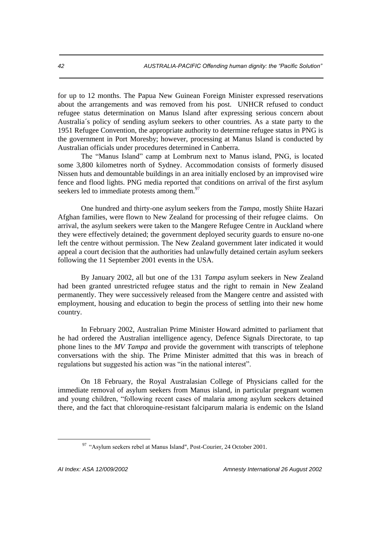for up to 12 months. The Papua New Guinean Foreign Minister expressed reservations about the arrangements and was removed from his post. UNHCR refused to conduct refugee status determination on Manus Island after expressing serious concern about Australia´s policy of sending asylum seekers to other countries. As a state party to the 1951 Refugee Convention, the appropriate authority to determine refugee status in PNG is the government in Port Moresby; however, processing at Manus Island is conducted by Australian officials under procedures determined in Canberra.

The "Manus Island" camp at Lombrum next to Manus island, PNG, is located some 3,800 kilometres north of Sydney. Accommodation consists of formerly disused Nissen huts and demountable buildings in an area initially enclosed by an improvised wire fence and flood lights. PNG media reported that conditions on arrival of the first asylum seekers led to immediate protests among them.<sup>97</sup>

One hundred and thirty-one asylum seekers from the *Tampa*, mostly Shiite Hazari Afghan families, were flown to New Zealand for processing of their refugee claims. On arrival, the asylum seekers were taken to the Mangere Refugee Centre in Auckland where they were effectively detained; the government deployed security guards to ensure no-one left the centre without permission. The New Zealand government later indicated it would appeal a court decision that the authorities had unlawfully detained certain asylum seekers following the 11 September 2001 events in the USA.

By January 2002, all but one of the 131 *Tampa* asylum seekers in New Zealand had been granted unrestricted refugee status and the right to remain in New Zealand permanently. They were successively released from the Mangere centre and assisted with employment, housing and education to begin the process of settling into their new home country.

In February 2002, Australian Prime Minister Howard admitted to parliament that he had ordered the Australian intelligence agency, Defence Signals Directorate, to tap phone lines to the *MV Tampa* and provide the government with transcripts of telephone conversations with the ship. The Prime Minister admitted that this was in breach of regulations but suggested his action was "in the national interest".

On 18 February, the Royal Australasian College of Physicians called for the immediate removal of asylum seekers from Manus island, in particular pregnant women and young children, "following recent cases of malaria among asylum seekers detained there, and the fact that chloroquine-resistant falciparum malaria is endemic on the Island

<sup>&</sup>lt;sup>97</sup> "Asylum seekers rebel at Manus Island", Post-Courier, 24 October 2001.